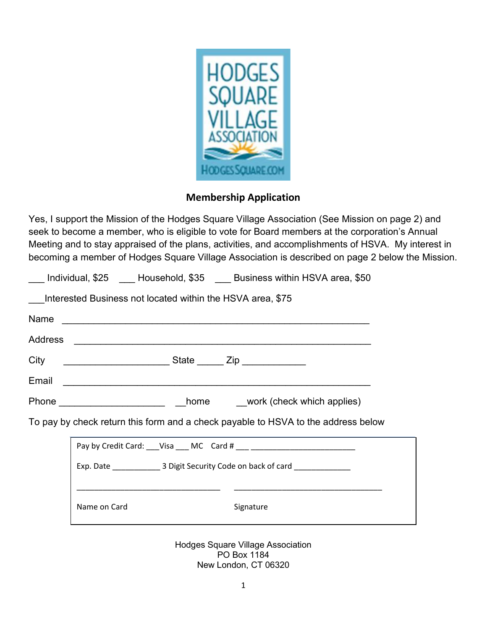

## Membership Application

Yes, I support the Mission of the Hodges Square Village Association (See Mission on page 2) and seek to become a member, who is eligible to vote for Board members at the corporation's Annual Meeting and to stay appraised of the plans, activities, and accomplishments of HSVA. My interest in becoming a member of Hodges Square Village Association is described on page 2 below the Mission.

| Signature |                                                                                                                                                                                                                            |
|-----------|----------------------------------------------------------------------------------------------------------------------------------------------------------------------------------------------------------------------------|
|           | Interested Business not located within the HSVA area, \$75<br>Phone ____________________________home ______work (check which applies)<br>To pay by check return this form and a check payable to HSVA to the address below |

New London, CT 06320